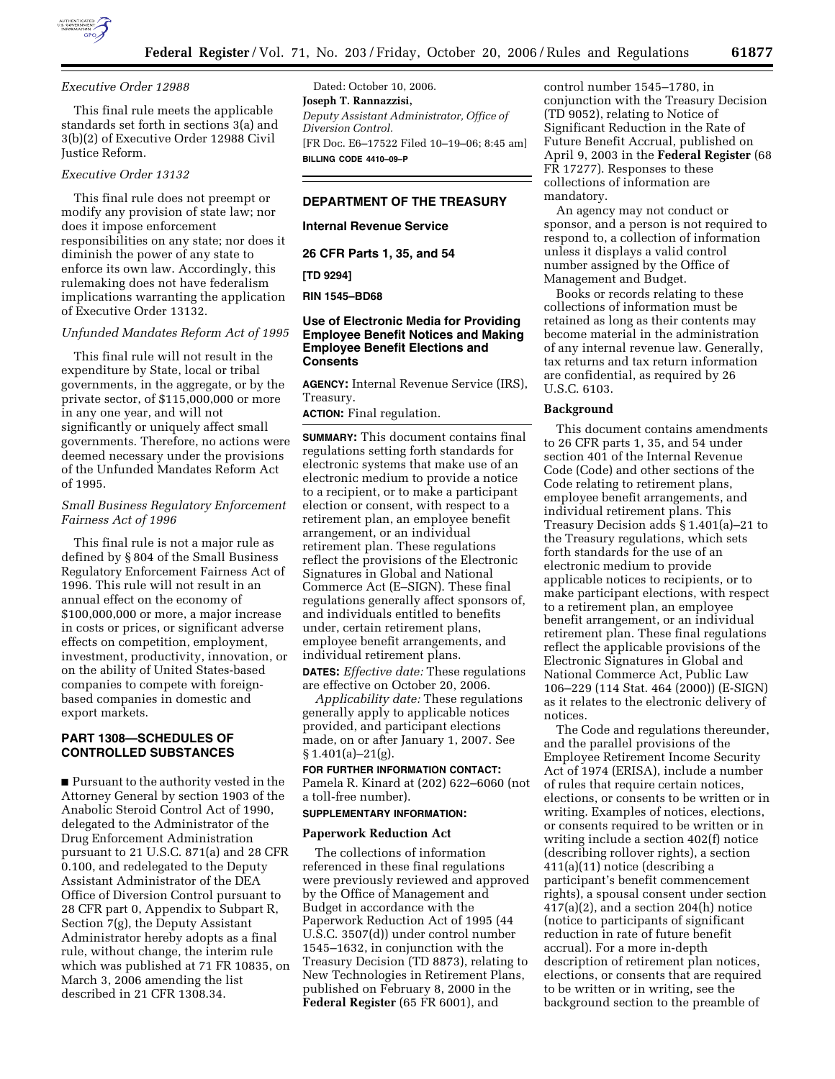

#### *Executive Order 12988*

This final rule meets the applicable standards set forth in sections 3(a) and 3(b)(2) of Executive Order 12988 Civil Justice Reform.

### *Executive Order 13132*

This final rule does not preempt or modify any provision of state law; nor does it impose enforcement responsibilities on any state; nor does it diminish the power of any state to enforce its own law. Accordingly, this rulemaking does not have federalism implications warranting the application of Executive Order 13132.

#### *Unfunded Mandates Reform Act of 1995*

This final rule will not result in the expenditure by State, local or tribal governments, in the aggregate, or by the private sector, of \$115,000,000 or more in any one year, and will not significantly or uniquely affect small governments. Therefore, no actions were deemed necessary under the provisions of the Unfunded Mandates Reform Act of 1995.

## *Small Business Regulatory Enforcement Fairness Act of 1996*

This final rule is not a major rule as defined by § 804 of the Small Business Regulatory Enforcement Fairness Act of 1996. This rule will not result in an annual effect on the economy of \$100,000,000 or more, a major increase in costs or prices, or significant adverse effects on competition, employment, investment, productivity, innovation, or on the ability of United States-based companies to compete with foreignbased companies in domestic and export markets.

# **PART 1308—SCHEDULES OF CONTROLLED SUBSTANCES**

■ Pursuant to the authority vested in the Attorney General by section 1903 of the Anabolic Steroid Control Act of 1990, delegated to the Administrator of the Drug Enforcement Administration pursuant to 21 U.S.C. 871(a) and 28 CFR 0.100, and redelegated to the Deputy Assistant Administrator of the DEA Office of Diversion Control pursuant to 28 CFR part 0, Appendix to Subpart R, Section 7(g), the Deputy Assistant Administrator hereby adopts as a final rule, without change, the interim rule which was published at 71 FR 10835, on March 3, 2006 amending the list described in 21 CFR 1308.34.

Dated: October 10, 2006. **Joseph T. Rannazzisi,**  *Deputy Assistant Administrator, Office of Diversion Control.*  [FR Doc. E6–17522 Filed 10–19–06; 8:45 am] **BILLING CODE 4410–09–P** 

# **DEPARTMENT OF THE TREASURY**

**Internal Revenue Service** 

**26 CFR Parts 1, 35, and 54** 

## **[TD 9294]**

**RIN 1545–BD68** 

## **Use of Electronic Media for Providing Employee Benefit Notices and Making Employee Benefit Elections and Consents**

**AGENCY:** Internal Revenue Service (IRS), Treasury.

**ACTION:** Final regulation.

**SUMMARY:** This document contains final regulations setting forth standards for electronic systems that make use of an electronic medium to provide a notice to a recipient, or to make a participant election or consent, with respect to a retirement plan, an employee benefit arrangement, or an individual retirement plan. These regulations reflect the provisions of the Electronic Signatures in Global and National Commerce Act (E–SIGN). These final regulations generally affect sponsors of, and individuals entitled to benefits under, certain retirement plans, employee benefit arrangements, and individual retirement plans.

**DATES:** *Effective date:* These regulations are effective on October 20, 2006.

*Applicability date:* These regulations generally apply to applicable notices provided, and participant elections made, on or after January 1, 2007. See  $§ 1.401(a) - 21(g).$ 

### **FOR FURTHER INFORMATION CONTACT:**  Pamela R. Kinard at (202) 622–6060 (not a toll-free number).

#### **SUPPLEMENTARY INFORMATION:**

#### **Paperwork Reduction Act**

The collections of information referenced in these final regulations were previously reviewed and approved by the Office of Management and Budget in accordance with the Paperwork Reduction Act of 1995 (44 U.S.C. 3507(d)) under control number 1545–1632, in conjunction with the Treasury Decision (TD 8873), relating to New Technologies in Retirement Plans, published on February 8, 2000 in the **Federal Register** (65 FR 6001), and

control number 1545–1780, in conjunction with the Treasury Decision (TD 9052), relating to Notice of Significant Reduction in the Rate of Future Benefit Accrual, published on April 9, 2003 in the **Federal Register** (68 FR 17277). Responses to these collections of information are mandatory.

An agency may not conduct or sponsor, and a person is not required to respond to, a collection of information unless it displays a valid control number assigned by the Office of Management and Budget.

Books or records relating to these collections of information must be retained as long as their contents may become material in the administration of any internal revenue law. Generally, tax returns and tax return information are confidential, as required by 26 U.S.C. 6103.

### **Background**

This document contains amendments to 26 CFR parts 1, 35, and 54 under section 401 of the Internal Revenue Code (Code) and other sections of the Code relating to retirement plans, employee benefit arrangements, and individual retirement plans. This Treasury Decision adds § 1.401(a)–21 to the Treasury regulations, which sets forth standards for the use of an electronic medium to provide applicable notices to recipients, or to make participant elections, with respect to a retirement plan, an employee benefit arrangement, or an individual retirement plan. These final regulations reflect the applicable provisions of the Electronic Signatures in Global and National Commerce Act, Public Law 106–229 (114 Stat. 464 (2000)) (E-SIGN) as it relates to the electronic delivery of notices.

The Code and regulations thereunder, and the parallel provisions of the Employee Retirement Income Security Act of 1974 (ERISA), include a number of rules that require certain notices, elections, or consents to be written or in writing. Examples of notices, elections, or consents required to be written or in writing include a section 402(f) notice (describing rollover rights), a section 411(a)(11) notice (describing a participant's benefit commencement rights), a spousal consent under section  $417(a)(2)$ , and a section  $204(h)$  notice (notice to participants of significant reduction in rate of future benefit accrual). For a more in-depth description of retirement plan notices, elections, or consents that are required to be written or in writing, see the background section to the preamble of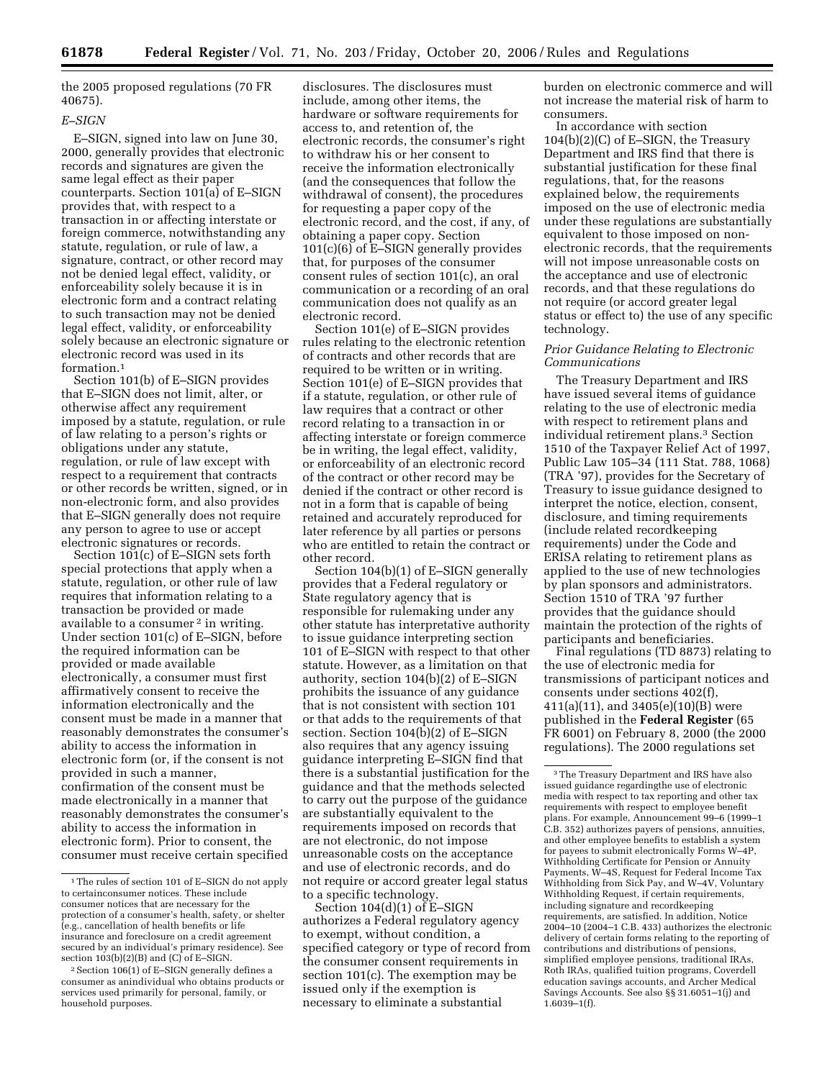the 2005 proposed regulations (70 FR 40675).

# *E–SIGN*

E–SIGN, signed into law on June 30, 2000, generally provides that electronic records and signatures are given the same legal effect as their paper counterparts. Section 101(a) of E–SIGN provides that, with respect to a transaction in or affecting interstate or foreign commerce, notwithstanding any statute, regulation, or rule of law, a signature, contract, or other record may not be denied legal effect, validity, or enforceability solely because it is in electronic form and a contract relating to such transaction may not be denied legal effect, validity, or enforceability solely because an electronic signature or electronic record was used in its formation.<sup>1</sup>

Section 101(b) of E–SIGN provides that E–SIGN does not limit, alter, or otherwise affect any requirement imposed by a statute, regulation, or rule of law relating to a person's rights or obligations under any statute, regulation, or rule of law except with respect to a requirement that contracts or other records be written, signed, or in non-electronic form, and also provides that E–SIGN generally does not require any person to agree to use or accept electronic signatures or records.

Section 101(c) of E–SIGN sets forth special protections that apply when a statute, regulation, or other rule of law requires that information relating to a transaction be provided or made available to a consumer<sup>2</sup> in writing. Under section 101(c) of E–SIGN, before the required information can be provided or made available electronically, a consumer must first affirmatively consent to receive the information electronically and the consent must be made in a manner that reasonably demonstrates the consumer's ability to access the information in electronic form (or, if the consent is not provided in such a manner, confirmation of the consent must be made electronically in a manner that reasonably demonstrates the consumer's ability to access the information in electronic form). Prior to consent, the consumer must receive certain specified

disclosures. The disclosures must include, among other items, the hardware or software requirements for access to, and retention of, the electronic records, the consumer's right to withdraw his or her consent to receive the information electronically (and the consequences that follow the withdrawal of consent), the procedures for requesting a paper copy of the electronic record, and the cost, if any, of obtaining a paper copy. Section 101(c)(6) of E–SIGN generally provides that, for purposes of the consumer consent rules of section 101(c), an oral communication or a recording of an oral communication does not qualify as an electronic record.

Section 101(e) of E–SIGN provides rules relating to the electronic retention of contracts and other records that are required to be written or in writing. Section 101(e) of E–SIGN provides that if a statute, regulation, or other rule of law requires that a contract or other record relating to a transaction in or affecting interstate or foreign commerce be in writing, the legal effect, validity, or enforceability of an electronic record of the contract or other record may be denied if the contract or other record is not in a form that is capable of being retained and accurately reproduced for later reference by all parties or persons who are entitled to retain the contract or other record.

Section 104(b)(1) of E–SIGN generally provides that a Federal regulatory or State regulatory agency that is responsible for rulemaking under any other statute has interpretative authority to issue guidance interpreting section 101 of E–SIGN with respect to that other statute. However, as a limitation on that authority, section 104(b)(2) of E–SIGN prohibits the issuance of any guidance that is not consistent with section 101 or that adds to the requirements of that section. Section 104(b)(2) of E–SIGN also requires that any agency issuing guidance interpreting E–SIGN find that there is a substantial justification for the guidance and that the methods selected to carry out the purpose of the guidance are substantially equivalent to the requirements imposed on records that are not electronic, do not impose unreasonable costs on the acceptance and use of electronic records, and do not require or accord greater legal status to a specific technology.

Section 104(d)(1) of E-SIGN authorizes a Federal regulatory agency to exempt, without condition, a specified category or type of record from the consumer consent requirements in section 101(c). The exemption may be issued only if the exemption is necessary to eliminate a substantial

burden on electronic commerce and will not increase the material risk of harm to consumers.

In accordance with section 104(b)(2)(C) of E–SIGN, the Treasury Department and IRS find that there is substantial justification for these final regulations, that, for the reasons explained below, the requirements imposed on the use of electronic media under these regulations are substantially equivalent to those imposed on nonelectronic records, that the requirements will not impose unreasonable costs on the acceptance and use of electronic records, and that these regulations do not require (or accord greater legal status or effect to) the use of any specific technology.

## *Prior Guidance Relating to Electronic Communications*

The Treasury Department and IRS have issued several items of guidance relating to the use of electronic media with respect to retirement plans and individual retirement plans.3 Section 1510 of the Taxpayer Relief Act of 1997, Public Law 105–34 (111 Stat. 788, 1068) (TRA '97), provides for the Secretary of Treasury to issue guidance designed to interpret the notice, election, consent, disclosure, and timing requirements (include related recordkeeping requirements) under the Code and ERISA relating to retirement plans as applied to the use of new technologies by plan sponsors and administrators. Section 1510 of TRA '97 further provides that the guidance should maintain the protection of the rights of participants and beneficiaries.

Final regulations (TD 8873) relating to the use of electronic media for transmissions of participant notices and consents under sections 402(f), 411(a)(11), and 3405(e)(10)(B) were published in the **Federal Register** (65 FR 6001) on February 8, 2000 (the 2000 regulations). The 2000 regulations set

<sup>&</sup>lt;sup>1</sup>The rules of section 101 of E–SIGN do not apply to certainconsumer notices. These include consumer notices that are necessary for the protection of a consumer's health, safety, or shelter (e.g., cancellation of health benefits or life insurance and foreclosure on a credit agreement secured by an individual's primary residence). See section 103(b)(2)(B) and (C) of E–SIGN.

<sup>2</sup>Section 106(1) of E–SIGN generally defines a consumer as anindividual who obtains products or services used primarily for personal, family, or household purposes.

<sup>3</sup>The Treasury Department and IRS have also issued guidance regardingthe use of electronic media with respect to tax reporting and other tax requirements with respect to employee benefit plans. For example, Announcement 99–6 (1999–1 C.B. 352) authorizes payers of pensions, annuities, and other employee benefits to establish a system for payees to submit electronically Forms W–4P, Withholding Certificate for Pension or Annuity Payments, W–4S, Request for Federal Income Tax Withholding from Sick Pay, and W–4V, Voluntary Withholding Request, if certain requirements, including signature and recordkeeping requirements, are satisfied. In addition, Notice 2004–10 (2004–1 C.B. 433) authorizes the electronic delivery of certain forms relating to the reporting of contributions and distributions of pensions, simplified employee pensions, traditional IRAs, Roth IRAs, qualified tuition programs, Coverdell education savings accounts, and Archer Medical Savings Accounts. See also §§ 31.6051–1(j) and  $1.6039 - 1(f)$ .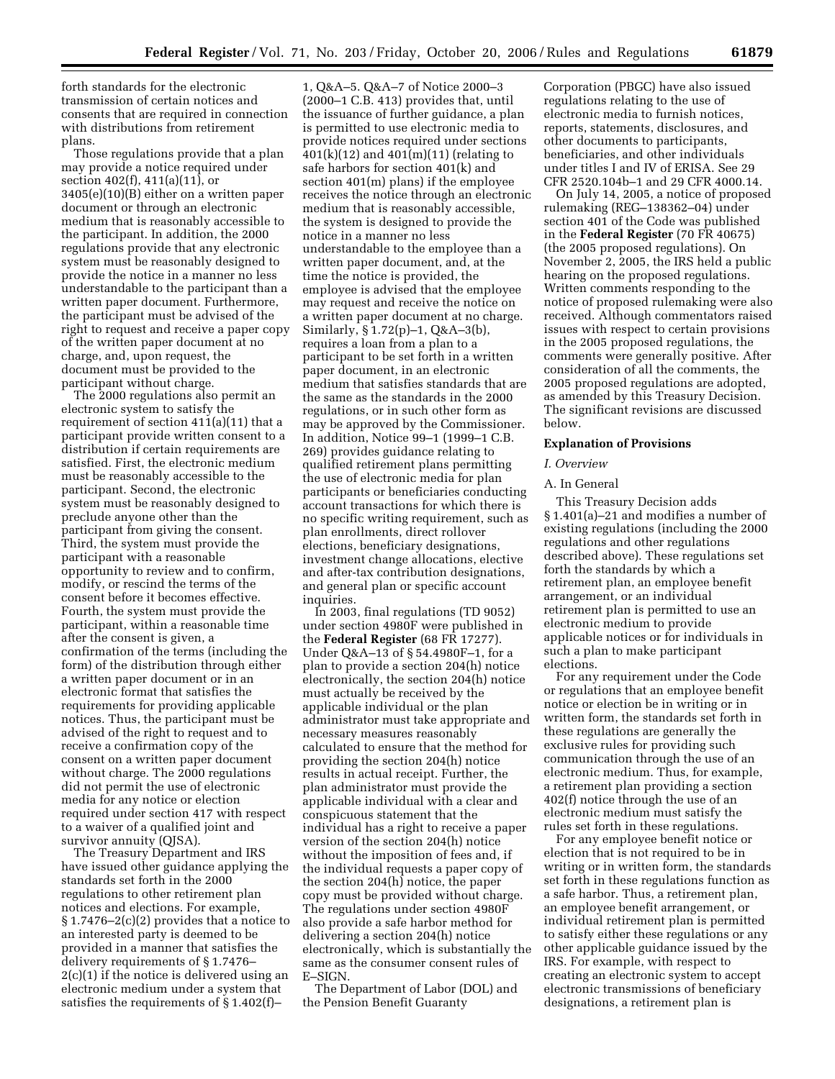forth standards for the electronic transmission of certain notices and consents that are required in connection with distributions from retirement plans.

Those regulations provide that a plan may provide a notice required under section 402(f), 411(a)(11), or 3405(e)(10)(B) either on a written paper document or through an electronic medium that is reasonably accessible to the participant. In addition, the 2000 regulations provide that any electronic system must be reasonably designed to provide the notice in a manner no less understandable to the participant than a written paper document. Furthermore, the participant must be advised of the right to request and receive a paper copy of the written paper document at no charge, and, upon request, the document must be provided to the participant without charge.

The 2000 regulations also permit an electronic system to satisfy the requirement of section 411(a)(11) that a participant provide written consent to a distribution if certain requirements are satisfied. First, the electronic medium must be reasonably accessible to the participant. Second, the electronic system must be reasonably designed to preclude anyone other than the participant from giving the consent. Third, the system must provide the participant with a reasonable opportunity to review and to confirm, modify, or rescind the terms of the consent before it becomes effective. Fourth, the system must provide the participant, within a reasonable time after the consent is given, a confirmation of the terms (including the form) of the distribution through either a written paper document or in an electronic format that satisfies the requirements for providing applicable notices. Thus, the participant must be advised of the right to request and to receive a confirmation copy of the consent on a written paper document without charge. The 2000 regulations did not permit the use of electronic media for any notice or election required under section 417 with respect to a waiver of a qualified joint and survivor annuity (QJSA).

The Treasury Department and IRS have issued other guidance applying the standards set forth in the 2000 regulations to other retirement plan notices and elections. For example, § 1.7476–2(c)(2) provides that a notice to an interested party is deemed to be provided in a manner that satisfies the delivery requirements of § 1.7476– 2(c)(1) if the notice is delivered using an electronic medium under a system that satisfies the requirements of § 1.402(f)–

1, Q&A–5. Q&A–7 of Notice 2000–3 (2000–1 C.B. 413) provides that, until the issuance of further guidance, a plan is permitted to use electronic media to provide notices required under sections  $401(k)(12)$  and  $401(m)(11)$  (relating to safe harbors for section 401(k) and section 401(m) plans) if the employee receives the notice through an electronic medium that is reasonably accessible, the system is designed to provide the notice in a manner no less understandable to the employee than a written paper document, and, at the time the notice is provided, the employee is advised that the employee may request and receive the notice on a written paper document at no charge. Similarly, § 1.72(p)–1, Q&A–3(b), requires a loan from a plan to a participant to be set forth in a written paper document, in an electronic medium that satisfies standards that are the same as the standards in the 2000 regulations, or in such other form as may be approved by the Commissioner. In addition, Notice 99–1 (1999–1 C.B. 269) provides guidance relating to qualified retirement plans permitting the use of electronic media for plan participants or beneficiaries conducting account transactions for which there is no specific writing requirement, such as plan enrollments, direct rollover elections, beneficiary designations, investment change allocations, elective and after-tax contribution designations, and general plan or specific account inquiries.

In 2003, final regulations (TD 9052) under section 4980F were published in the **Federal Register** (68 FR 17277). Under Q&A–13 of § 54.4980F–1, for a plan to provide a section 204(h) notice electronically, the section 204(h) notice must actually be received by the applicable individual or the plan administrator must take appropriate and necessary measures reasonably calculated to ensure that the method for providing the section 204(h) notice results in actual receipt. Further, the plan administrator must provide the applicable individual with a clear and conspicuous statement that the individual has a right to receive a paper version of the section 204(h) notice without the imposition of fees and, if the individual requests a paper copy of the section 204(h) notice, the paper copy must be provided without charge. The regulations under section 4980F also provide a safe harbor method for delivering a section 204(h) notice electronically, which is substantially the same as the consumer consent rules of E–SIGN.

The Department of Labor (DOL) and the Pension Benefit Guaranty

Corporation (PBGC) have also issued regulations relating to the use of electronic media to furnish notices, reports, statements, disclosures, and other documents to participants, beneficiaries, and other individuals under titles I and IV of ERISA. See 29 CFR 2520.104b–1 and 29 CFR 4000.14.

On July 14, 2005, a notice of proposed rulemaking (REG–138362–04) under section 401 of the Code was published in the **Federal Register** (70 FR 40675) (the 2005 proposed regulations). On November 2, 2005, the IRS held a public hearing on the proposed regulations. Written comments responding to the notice of proposed rulemaking were also received. Although commentators raised issues with respect to certain provisions in the 2005 proposed regulations, the comments were generally positive. After consideration of all the comments, the 2005 proposed regulations are adopted, as amended by this Treasury Decision. The significant revisions are discussed below.

#### **Explanation of Provisions**

#### *I. Overview*

#### A. In General

This Treasury Decision adds § 1.401(a)–21 and modifies a number of existing regulations (including the 2000 regulations and other regulations described above). These regulations set forth the standards by which a retirement plan, an employee benefit arrangement, or an individual retirement plan is permitted to use an electronic medium to provide applicable notices or for individuals in such a plan to make participant elections.

For any requirement under the Code or regulations that an employee benefit notice or election be in writing or in written form, the standards set forth in these regulations are generally the exclusive rules for providing such communication through the use of an electronic medium. Thus, for example, a retirement plan providing a section 402(f) notice through the use of an electronic medium must satisfy the rules set forth in these regulations.

For any employee benefit notice or election that is not required to be in writing or in written form, the standards set forth in these regulations function as a safe harbor. Thus, a retirement plan, an employee benefit arrangement, or individual retirement plan is permitted to satisfy either these regulations or any other applicable guidance issued by the IRS. For example, with respect to creating an electronic system to accept electronic transmissions of beneficiary designations, a retirement plan is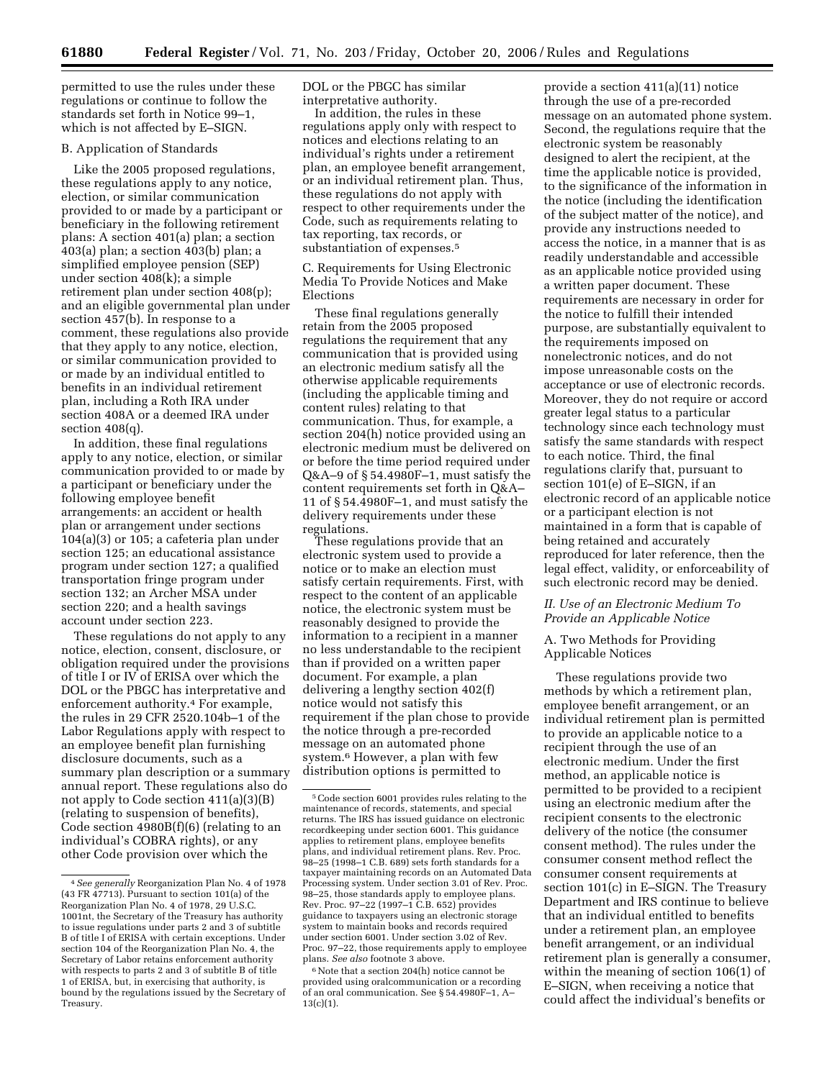permitted to use the rules under these regulations or continue to follow the standards set forth in Notice 99–1, which is not affected by E–SIGN.

#### B. Application of Standards

Like the 2005 proposed regulations, these regulations apply to any notice, election, or similar communication provided to or made by a participant or beneficiary in the following retirement plans: A section 401(a) plan; a section 403(a) plan; a section 403(b) plan; a simplified employee pension (SEP) under section 408(k); a simple retirement plan under section 408(p); and an eligible governmental plan under section 457(b). In response to a comment, these regulations also provide that they apply to any notice, election, or similar communication provided to or made by an individual entitled to benefits in an individual retirement plan, including a Roth IRA under section 408A or a deemed IRA under section 408(q).

In addition, these final regulations apply to any notice, election, or similar communication provided to or made by a participant or beneficiary under the following employee benefit arrangements: an accident or health plan or arrangement under sections 104(a)(3) or 105; a cafeteria plan under section 125; an educational assistance program under section 127; a qualified transportation fringe program under section 132; an Archer MSA under section 220; and a health savings account under section 223.

These regulations do not apply to any notice, election, consent, disclosure, or obligation required under the provisions of title I or IV of ERISA over which the DOL or the PBGC has interpretative and enforcement authority.4 For example, the rules in 29 CFR 2520.104b–1 of the Labor Regulations apply with respect to an employee benefit plan furnishing disclosure documents, such as a summary plan description or a summary annual report. These regulations also do not apply to Code section 411(a)(3)(B) (relating to suspension of benefits), Code section 4980B(f)(6) (relating to an individual's COBRA rights), or any other Code provision over which the

DOL or the PBGC has similar interpretative authority.

In addition, the rules in these regulations apply only with respect to notices and elections relating to an individual's rights under a retirement plan, an employee benefit arrangement, or an individual retirement plan. Thus, these regulations do not apply with respect to other requirements under the Code, such as requirements relating to tax reporting, tax records, or substantiation of expenses.5

C. Requirements for Using Electronic Media To Provide Notices and Make Elections

These final regulations generally retain from the 2005 proposed regulations the requirement that any communication that is provided using an electronic medium satisfy all the otherwise applicable requirements (including the applicable timing and content rules) relating to that communication. Thus, for example, a section 204(h) notice provided using an electronic medium must be delivered on or before the time period required under Q&A–9 of § 54.4980F–1, must satisfy the content requirements set forth in Q&A– 11 of § 54.4980F–1, and must satisfy the delivery requirements under these regulations.

These regulations provide that an electronic system used to provide a notice or to make an election must satisfy certain requirements. First, with respect to the content of an applicable notice, the electronic system must be reasonably designed to provide the information to a recipient in a manner no less understandable to the recipient than if provided on a written paper document. For example, a plan delivering a lengthy section 402(f) notice would not satisfy this requirement if the plan chose to provide the notice through a pre-recorded message on an automated phone system.6 However, a plan with few distribution options is permitted to

<sup>6</sup> Note that a section 204(h) notice cannot be provided using oralcommunication or a recording of an oral communication. See § 54.4980F–1, A–  $13(c)(1)$ .

provide a section 411(a)(11) notice through the use of a pre-recorded message on an automated phone system. Second, the regulations require that the electronic system be reasonably designed to alert the recipient, at the time the applicable notice is provided, to the significance of the information in the notice (including the identification of the subject matter of the notice), and provide any instructions needed to access the notice, in a manner that is as readily understandable and accessible as an applicable notice provided using a written paper document. These requirements are necessary in order for the notice to fulfill their intended purpose, are substantially equivalent to the requirements imposed on nonelectronic notices, and do not impose unreasonable costs on the acceptance or use of electronic records. Moreover, they do not require or accord greater legal status to a particular technology since each technology must satisfy the same standards with respect to each notice. Third, the final regulations clarify that, pursuant to section 101(e) of E–SIGN, if an electronic record of an applicable notice or a participant election is not maintained in a form that is capable of being retained and accurately reproduced for later reference, then the legal effect, validity, or enforceability of such electronic record may be denied.

## *II. Use of an Electronic Medium To Provide an Applicable Notice*

A. Two Methods for Providing Applicable Notices

These regulations provide two methods by which a retirement plan, employee benefit arrangement, or an individual retirement plan is permitted to provide an applicable notice to a recipient through the use of an electronic medium. Under the first method, an applicable notice is permitted to be provided to a recipient using an electronic medium after the recipient consents to the electronic delivery of the notice (the consumer consent method). The rules under the consumer consent method reflect the consumer consent requirements at section 101(c) in E–SIGN. The Treasury Department and IRS continue to believe that an individual entitled to benefits under a retirement plan, an employee benefit arrangement, or an individual retirement plan is generally a consumer, within the meaning of section 106(1) of E–SIGN, when receiving a notice that could affect the individual's benefits or

<sup>4</sup>*See generally* Reorganization Plan No. 4 of 1978 (43 FR 47713). Pursuant to section 101(a) of the Reorganization Plan No. 4 of 1978, 29 U.S.C. 1001nt, the Secretary of the Treasury has authority to issue regulations under parts 2 and 3 of subtitle B of title I of ERISA with certain exceptions. Under section 104 of the Reorganization Plan No. 4, the Secretary of Labor retains enforcement authority with respects to parts 2 and 3 of subtitle B of title 1 of ERISA, but, in exercising that authority, is bound by the regulations issued by the Secretary of Treasury.

<sup>5</sup>Code section 6001 provides rules relating to the maintenance of records, statements, and special returns. The IRS has issued guidance on electronic recordkeeping under section 6001. This guidance applies to retirement plans, employee benefits plans, and individual retirement plans. Rev. Proc. 98–25 (1998–1 C.B. 689) sets forth standards for a taxpayer maintaining records on an Automated Data Processing system. Under section 3.01 of Rev. Proc. 98–25, those standards apply to employee plans. Rev. Proc. 97–22 (1997–1 C.B. 652) provides guidance to taxpayers using an electronic storage system to maintain books and records required under section 6001. Under section 3.02 of Rev. Proc. 97–22, those requirements apply to employee plans. *See also* footnote 3 above.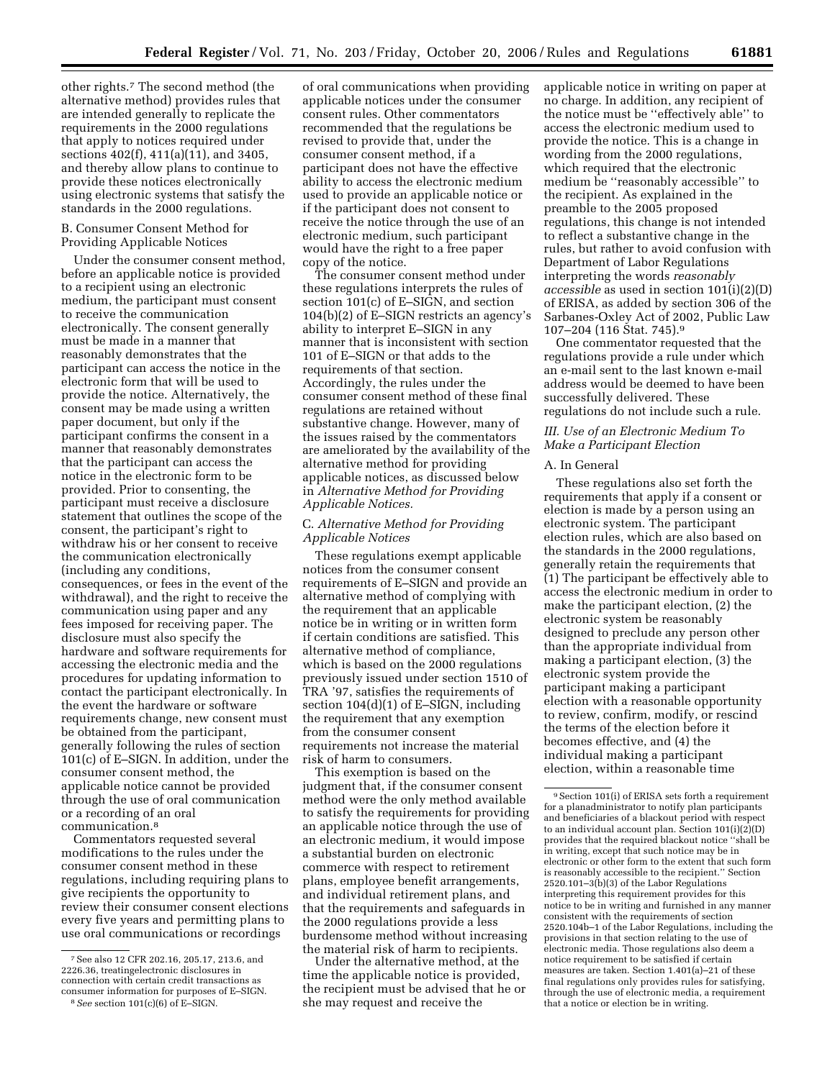other rights.7 The second method (the alternative method) provides rules that are intended generally to replicate the requirements in the 2000 regulations that apply to notices required under sections 402(f), 411(a)(11), and 3405, and thereby allow plans to continue to provide these notices electronically using electronic systems that satisfy the standards in the 2000 regulations.

### B. Consumer Consent Method for Providing Applicable Notices

Under the consumer consent method, before an applicable notice is provided to a recipient using an electronic medium, the participant must consent to receive the communication electronically. The consent generally must be made in a manner that reasonably demonstrates that the participant can access the notice in the electronic form that will be used to provide the notice. Alternatively, the consent may be made using a written paper document, but only if the participant confirms the consent in a manner that reasonably demonstrates that the participant can access the notice in the electronic form to be provided. Prior to consenting, the participant must receive a disclosure statement that outlines the scope of the consent, the participant's right to withdraw his or her consent to receive the communication electronically (including any conditions, consequences, or fees in the event of the withdrawal), and the right to receive the communication using paper and any fees imposed for receiving paper. The disclosure must also specify the hardware and software requirements for accessing the electronic media and the procedures for updating information to contact the participant electronically. In the event the hardware or software requirements change, new consent must be obtained from the participant, generally following the rules of section 101(c) of E–SIGN. In addition, under the consumer consent method, the applicable notice cannot be provided through the use of oral communication or a recording of an oral communication.8

Commentators requested several modifications to the rules under the consumer consent method in these regulations, including requiring plans to give recipients the opportunity to review their consumer consent elections every five years and permitting plans to use oral communications or recordings

of oral communications when providing applicable notices under the consumer consent rules. Other commentators recommended that the regulations be revised to provide that, under the consumer consent method, if a participant does not have the effective ability to access the electronic medium used to provide an applicable notice or if the participant does not consent to receive the notice through the use of an electronic medium, such participant would have the right to a free paper copy of the notice.

The consumer consent method under these regulations interprets the rules of section 101(c) of E–SIGN, and section 104(b)(2) of E–SIGN restricts an agency's ability to interpret E–SIGN in any manner that is inconsistent with section 101 of E–SIGN or that adds to the requirements of that section. Accordingly, the rules under the consumer consent method of these final regulations are retained without substantive change. However, many of the issues raised by the commentators are ameliorated by the availability of the alternative method for providing applicable notices, as discussed below in *Alternative Method for Providing Applicable Notices.* 

## C. *Alternative Method for Providing Applicable Notices*

These regulations exempt applicable notices from the consumer consent requirements of E–SIGN and provide an alternative method of complying with the requirement that an applicable notice be in writing or in written form if certain conditions are satisfied. This alternative method of compliance, which is based on the 2000 regulations previously issued under section 1510 of TRA '97, satisfies the requirements of section 104(d)(1) of E–SIGN, including the requirement that any exemption from the consumer consent requirements not increase the material risk of harm to consumers.

This exemption is based on the judgment that, if the consumer consent method were the only method available to satisfy the requirements for providing an applicable notice through the use of an electronic medium, it would impose a substantial burden on electronic commerce with respect to retirement plans, employee benefit arrangements, and individual retirement plans, and that the requirements and safeguards in the 2000 regulations provide a less burdensome method without increasing the material risk of harm to recipients.

Under the alternative method, at the time the applicable notice is provided, the recipient must be advised that he or she may request and receive the

applicable notice in writing on paper at no charge. In addition, any recipient of the notice must be ''effectively able'' to access the electronic medium used to provide the notice. This is a change in wording from the 2000 regulations, which required that the electronic medium be ''reasonably accessible'' to the recipient. As explained in the preamble to the 2005 proposed regulations, this change is not intended to reflect a substantive change in the rules, but rather to avoid confusion with Department of Labor Regulations interpreting the words *reasonably accessible* as used in section 101(i)(2)(D) of ERISA, as added by section 306 of the Sarbanes-Oxley Act of 2002, Public Law 107–204 (116 Stat. 745).9

One commentator requested that the regulations provide a rule under which an e-mail sent to the last known e-mail address would be deemed to have been successfully delivered. These regulations do not include such a rule.

## *III. Use of an Electronic Medium To Make a Participant Election*

### A. In General

These regulations also set forth the requirements that apply if a consent or election is made by a person using an electronic system. The participant election rules, which are also based on the standards in the 2000 regulations, generally retain the requirements that (1) The participant be effectively able to access the electronic medium in order to make the participant election, (2) the electronic system be reasonably designed to preclude any person other than the appropriate individual from making a participant election, (3) the electronic system provide the participant making a participant election with a reasonable opportunity to review, confirm, modify, or rescind the terms of the election before it becomes effective, and (4) the individual making a participant election, within a reasonable time

<sup>7</sup>See also 12 CFR 202.16, 205.17, 213.6, and 2226.36, treatingelectronic disclosures in connection with certain credit transactions as<br>consumer information for purposes of E–SIGN.

<sup>&</sup>lt;sup>8</sup> See section 101(c)(6) of E–SIGN.

 $^9\,$  Section 101(i) of ERISA sets forth a requirement for a planadministrator to notify plan participants and beneficiaries of a blackout period with respect to an individual account plan. Section 101(i)(2)(D) provides that the required blackout notice ''shall be in writing, except that such notice may be in electronic or other form to the extent that such form is reasonably accessible to the recipient.'' Section 2520.101–3(b)(3) of the Labor Regulations interpreting this requirement provides for this notice to be in writing and furnished in any manner consistent with the requirements of section 2520.104b–1 of the Labor Regulations, including the provisions in that section relating to the use of electronic media. Those regulations also deem a notice requirement to be satisfied if certain measures are taken. Section 1.401(a)–21 of these final regulations only provides rules for satisfying, through the use of electronic media, a requirement that a notice or election be in writing.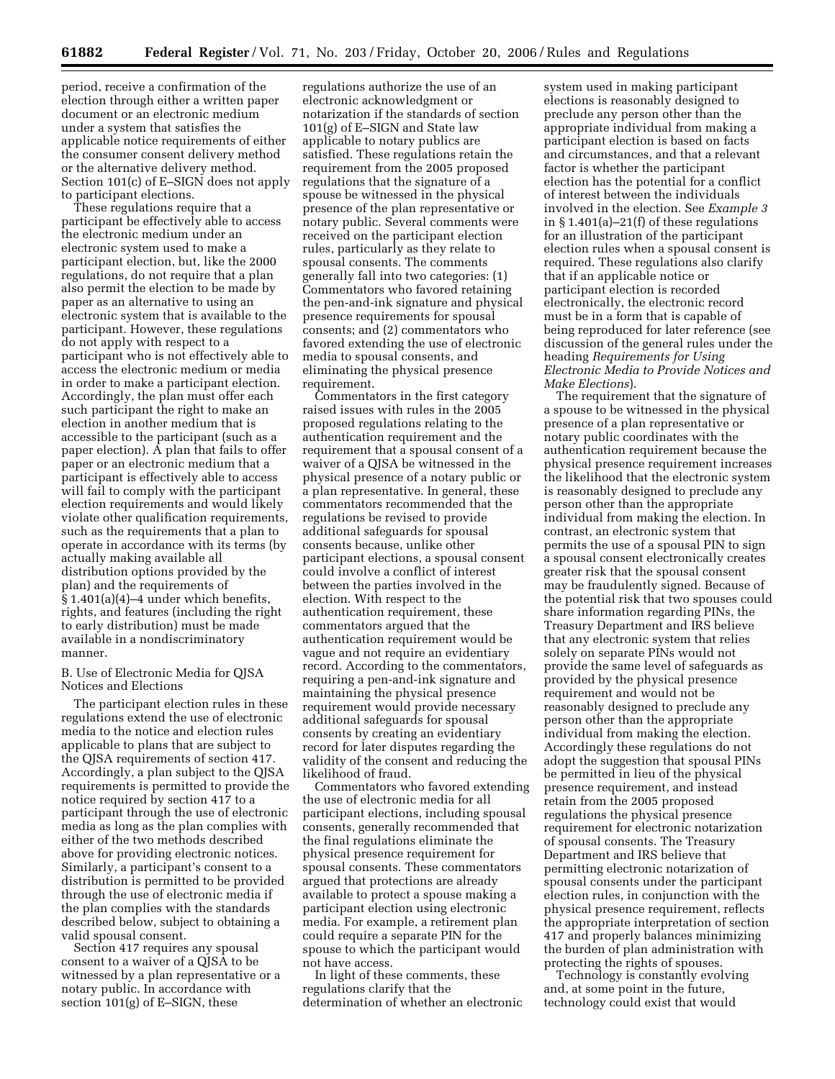period, receive a confirmation of the election through either a written paper document or an electronic medium under a system that satisfies the applicable notice requirements of either the consumer consent delivery method or the alternative delivery method. Section 101(c) of E–SIGN does not apply to participant elections.

These regulations require that a participant be effectively able to access the electronic medium under an electronic system used to make a participant election, but, like the 2000 regulations, do not require that a plan also permit the election to be made by paper as an alternative to using an electronic system that is available to the participant. However, these regulations do not apply with respect to a participant who is not effectively able to access the electronic medium or media in order to make a participant election. Accordingly, the plan must offer each such participant the right to make an election in another medium that is accessible to the participant (such as a paper election). A plan that fails to offer paper or an electronic medium that a participant is effectively able to access will fail to comply with the participant election requirements and would likely violate other qualification requirements, such as the requirements that a plan to operate in accordance with its terms (by actually making available all distribution options provided by the plan) and the requirements of § 1.401(a)(4)–4 under which benefits, rights, and features (including the right to early distribution) must be made available in a nondiscriminatory manner.

## B. Use of Electronic Media for QJSA Notices and Elections

The participant election rules in these regulations extend the use of electronic media to the notice and election rules applicable to plans that are subject to the QJSA requirements of section 417. Accordingly, a plan subject to the QJSA requirements is permitted to provide the notice required by section 417 to a participant through the use of electronic media as long as the plan complies with either of the two methods described above for providing electronic notices. Similarly, a participant's consent to a distribution is permitted to be provided through the use of electronic media if the plan complies with the standards described below, subject to obtaining a valid spousal consent.

Section 417 requires any spousal consent to a waiver of a QJSA to be witnessed by a plan representative or a notary public. In accordance with section 101(g) of E–SIGN, these

regulations authorize the use of an electronic acknowledgment or notarization if the standards of section 101(g) of E–SIGN and State law applicable to notary publics are satisfied. These regulations retain the requirement from the 2005 proposed regulations that the signature of a spouse be witnessed in the physical presence of the plan representative or notary public. Several comments were received on the participant election rules, particularly as they relate to spousal consents. The comments generally fall into two categories: (1) Commentators who favored retaining the pen-and-ink signature and physical presence requirements for spousal consents; and (2) commentators who favored extending the use of electronic media to spousal consents, and eliminating the physical presence requirement.

Commentators in the first category raised issues with rules in the 2005 proposed regulations relating to the authentication requirement and the requirement that a spousal consent of a waiver of a QJSA be witnessed in the physical presence of a notary public or a plan representative. In general, these commentators recommended that the regulations be revised to provide additional safeguards for spousal consents because, unlike other participant elections, a spousal consent could involve a conflict of interest between the parties involved in the election. With respect to the authentication requirement, these commentators argued that the authentication requirement would be vague and not require an evidentiary record. According to the commentators, requiring a pen-and-ink signature and maintaining the physical presence requirement would provide necessary additional safeguards for spousal consents by creating an evidentiary record for later disputes regarding the validity of the consent and reducing the likelihood of fraud.

Commentators who favored extending the use of electronic media for all participant elections, including spousal consents, generally recommended that the final regulations eliminate the physical presence requirement for spousal consents. These commentators argued that protections are already available to protect a spouse making a participant election using electronic media. For example, a retirement plan could require a separate PIN for the spouse to which the participant would not have access.

In light of these comments, these regulations clarify that the determination of whether an electronic

system used in making participant elections is reasonably designed to preclude any person other than the appropriate individual from making a participant election is based on facts and circumstances, and that a relevant factor is whether the participant election has the potential for a conflict of interest between the individuals involved in the election. See *Example 3*  in § 1.401(a)–21(f) of these regulations for an illustration of the participant election rules when a spousal consent is required. These regulations also clarify that if an applicable notice or participant election is recorded electronically, the electronic record must be in a form that is capable of being reproduced for later reference (see discussion of the general rules under the heading *Requirements for Using Electronic Media to Provide Notices and Make Elections*).

The requirement that the signature of a spouse to be witnessed in the physical presence of a plan representative or notary public coordinates with the authentication requirement because the physical presence requirement increases the likelihood that the electronic system is reasonably designed to preclude any person other than the appropriate individual from making the election. In contrast, an electronic system that permits the use of a spousal PIN to sign a spousal consent electronically creates greater risk that the spousal consent may be fraudulently signed. Because of the potential risk that two spouses could share information regarding PINs, the Treasury Department and IRS believe that any electronic system that relies solely on separate PINs would not provide the same level of safeguards as provided by the physical presence requirement and would not be reasonably designed to preclude any person other than the appropriate individual from making the election. Accordingly these regulations do not adopt the suggestion that spousal PINs be permitted in lieu of the physical presence requirement, and instead retain from the 2005 proposed regulations the physical presence requirement for electronic notarization of spousal consents. The Treasury Department and IRS believe that permitting electronic notarization of spousal consents under the participant election rules, in conjunction with the physical presence requirement, reflects the appropriate interpretation of section 417 and properly balances minimizing the burden of plan administration with protecting the rights of spouses.

Technology is constantly evolving and, at some point in the future, technology could exist that would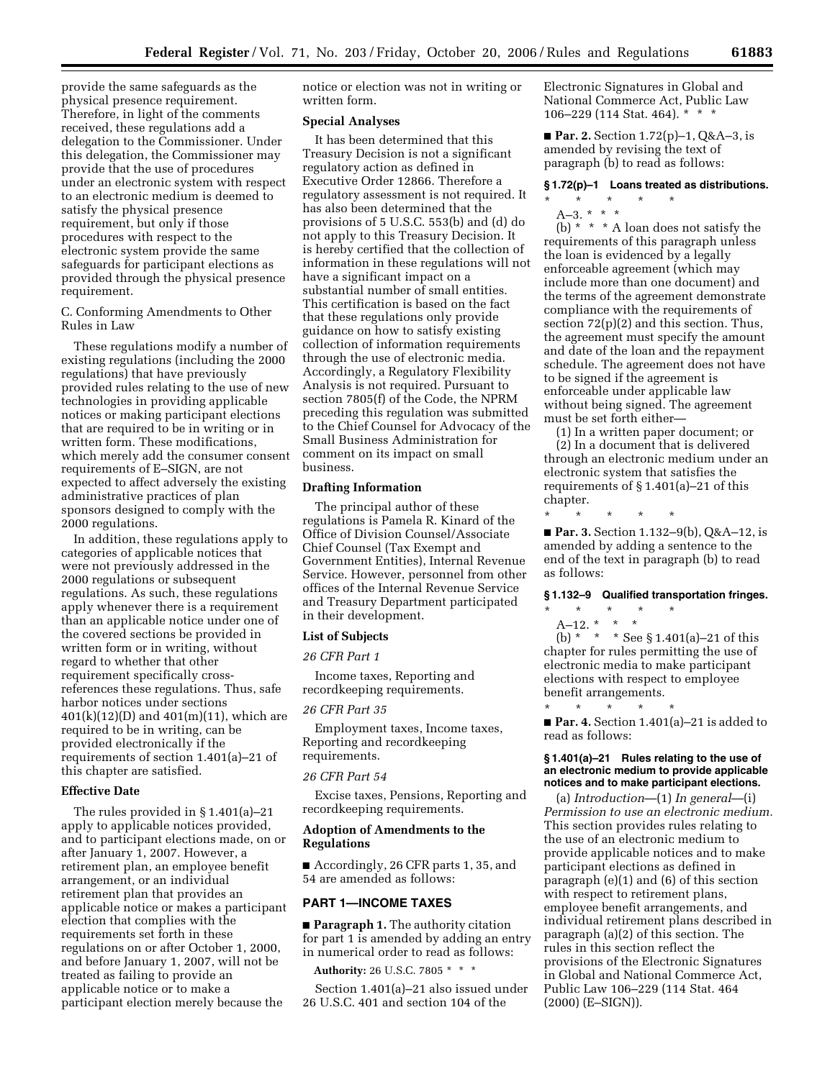provide the same safeguards as the physical presence requirement. Therefore, in light of the comments received, these regulations add a delegation to the Commissioner. Under this delegation, the Commissioner may provide that the use of procedures under an electronic system with respect to an electronic medium is deemed to satisfy the physical presence requirement, but only if those procedures with respect to the electronic system provide the same safeguards for participant elections as provided through the physical presence requirement.

C. Conforming Amendments to Other Rules in Law

These regulations modify a number of existing regulations (including the 2000 regulations) that have previously provided rules relating to the use of new technologies in providing applicable notices or making participant elections that are required to be in writing or in written form. These modifications, which merely add the consumer consent requirements of E–SIGN, are not expected to affect adversely the existing administrative practices of plan sponsors designed to comply with the 2000 regulations.

In addition, these regulations apply to categories of applicable notices that were not previously addressed in the 2000 regulations or subsequent regulations. As such, these regulations apply whenever there is a requirement than an applicable notice under one of the covered sections be provided in written form or in writing, without regard to whether that other requirement specifically crossreferences these regulations. Thus, safe harbor notices under sections 401(k)(12)(D) and 401(m)(11), which are required to be in writing, can be provided electronically if the requirements of section 1.401(a)–21 of this chapter are satisfied.

#### **Effective Date**

The rules provided in § 1.401(a)–21 apply to applicable notices provided, and to participant elections made, on or after January 1, 2007. However, a retirement plan, an employee benefit arrangement, or an individual retirement plan that provides an applicable notice or makes a participant election that complies with the requirements set forth in these regulations on or after October 1, 2000, and before January 1, 2007, will not be treated as failing to provide an applicable notice or to make a participant election merely because the

notice or election was not in writing or written form.

### **Special Analyses**

It has been determined that this Treasury Decision is not a significant regulatory action as defined in Executive Order 12866. Therefore a regulatory assessment is not required. It has also been determined that the provisions of 5 U.S.C. 553(b) and (d) do not apply to this Treasury Decision. It is hereby certified that the collection of information in these regulations will not have a significant impact on a substantial number of small entities. This certification is based on the fact that these regulations only provide guidance on how to satisfy existing collection of information requirements through the use of electronic media. Accordingly, a Regulatory Flexibility Analysis is not required. Pursuant to section 7805(f) of the Code, the NPRM preceding this regulation was submitted to the Chief Counsel for Advocacy of the Small Business Administration for comment on its impact on small business.

## **Drafting Information**

The principal author of these regulations is Pamela R. Kinard of the Office of Division Counsel/Associate Chief Counsel (Tax Exempt and Government Entities), Internal Revenue Service. However, personnel from other offices of the Internal Revenue Service and Treasury Department participated in their development.

## **List of Subjects**

#### *26 CFR Part 1*

Income taxes, Reporting and recordkeeping requirements.

## *26 CFR Part 35*

Employment taxes, Income taxes, Reporting and recordkeeping requirements.

## *26 CFR Part 54*

Excise taxes, Pensions, Reporting and recordkeeping requirements.

## **Adoption of Amendments to the Regulations**

■ Accordingly, 26 CFR parts 1, 35, and 54 are amended as follows:

## **PART 1—INCOME TAXES**

■ **Paragraph 1.** The authority citation for part 1 is amended by adding an entry in numerical order to read as follows:

**Authority:** 26 U.S.C. 7805 \* \* \*

Section 1.401(a)–21 also issued under 26 U.S.C. 401 and section 104 of the

Electronic Signatures in Global and National Commerce Act, Public Law 106–229 (114 Stat. 464). \* \* \*

■ **Par. 2.** Section 1.72(p)–1, Q&A–3, is amended by revising the text of paragraph (b) to read as follows:

#### **§ 1.72(p)–1 Loans treated as distributions.**

# \* \* \* \* \*

A–3. \* \* \* (b)  $*$   $*$   $*$  A loan does not satisfy the requirements of this paragraph unless the loan is evidenced by a legally enforceable agreement (which may include more than one document) and the terms of the agreement demonstrate compliance with the requirements of section 72(p)(2) and this section. Thus, the agreement must specify the amount and date of the loan and the repayment schedule. The agreement does not have to be signed if the agreement is enforceable under applicable law without being signed. The agreement must be set forth either—

(1) In a written paper document; or (2) In a document that is delivered through an electronic medium under an electronic system that satisfies the requirements of § 1.401(a)–21 of this chapter.

\* \* \* \* \* ■ **Par. 3.** Section 1.132–9(b), Q&A–12, is amended by adding a sentence to the end of the text in paragraph (b) to read as follows:

# **§ 1.132–9 Qualified transportation fringes.**

\* \* \* \* \* A–12.  $*$  \* \*

(b) \* \* \* See § 1.401(a)–21 of this chapter for rules permitting the use of electronic media to make participant elections with respect to employee benefit arrangements.

\* \* \* \* \* ■ **Par. 4.** Section 1.401(a)–21 is added to read as follows:

### **§ 1.401(a)–21 Rules relating to the use of an electronic medium to provide applicable notices and to make participant elections.**

(a) *Introduction*—(1) *In general*—(i) *Permission to use an electronic medium.*  This section provides rules relating to the use of an electronic medium to provide applicable notices and to make participant elections as defined in paragraph (e)(1) and (6) of this section with respect to retirement plans, employee benefit arrangements, and individual retirement plans described in paragraph (a)(2) of this section. The rules in this section reflect the provisions of the Electronic Signatures in Global and National Commerce Act, Public Law 106–229 (114 Stat. 464 (2000) (E–SIGN)).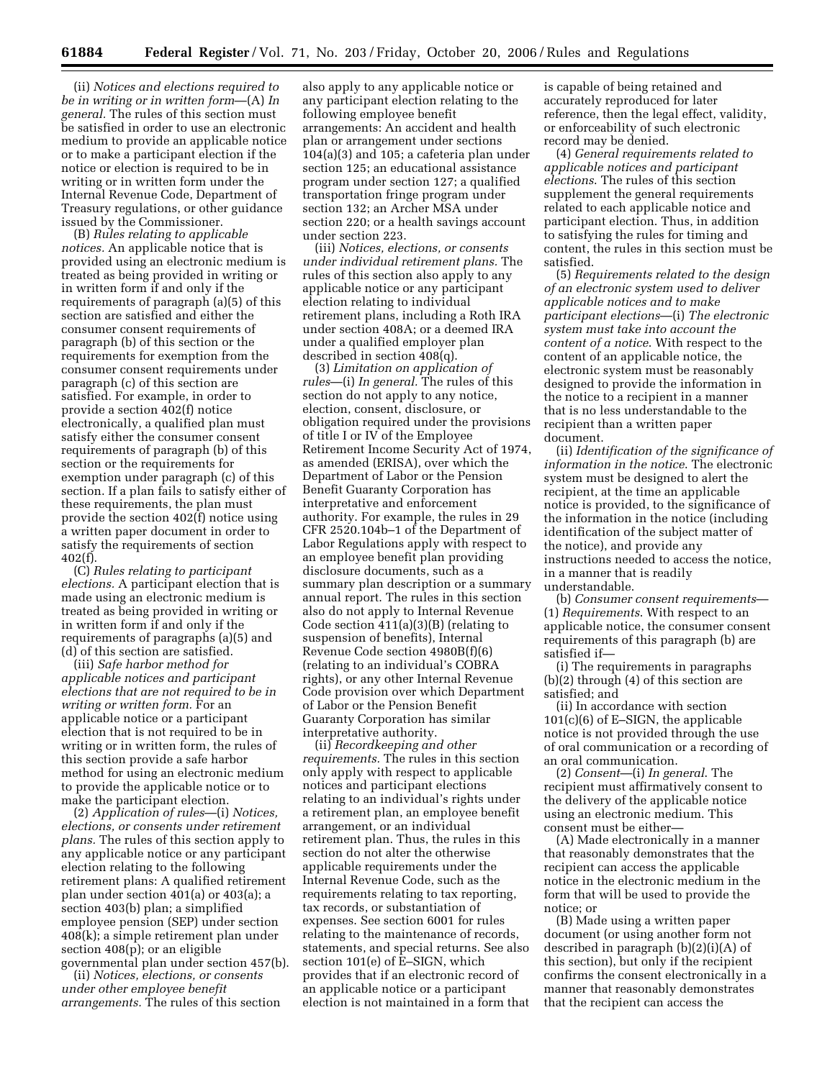(ii) *Notices and elections required to be in writing or in written form*—(A) *In general.* The rules of this section must be satisfied in order to use an electronic medium to provide an applicable notice or to make a participant election if the notice or election is required to be in writing or in written form under the Internal Revenue Code, Department of Treasury regulations, or other guidance issued by the Commissioner.

(B) *Rules relating to applicable notices.* An applicable notice that is provided using an electronic medium is treated as being provided in writing or in written form if and only if the requirements of paragraph (a)(5) of this section are satisfied and either the consumer consent requirements of paragraph (b) of this section or the requirements for exemption from the consumer consent requirements under paragraph (c) of this section are satisfied. For example, in order to provide a section 402(f) notice electronically, a qualified plan must satisfy either the consumer consent requirements of paragraph (b) of this section or the requirements for exemption under paragraph (c) of this section. If a plan fails to satisfy either of these requirements, the plan must provide the section 402(f) notice using a written paper document in order to satisfy the requirements of section 402(f).

(C) *Rules relating to participant elections.* A participant election that is made using an electronic medium is treated as being provided in writing or in written form if and only if the requirements of paragraphs (a)(5) and (d) of this section are satisfied.

(iii) *Safe harbor method for applicable notices and participant elections that are not required to be in writing or written form.* For an applicable notice or a participant election that is not required to be in writing or in written form, the rules of this section provide a safe harbor method for using an electronic medium to provide the applicable notice or to make the participant election.

(2) *Application of rules*—(i) *Notices, elections, or consents under retirement plans.* The rules of this section apply to any applicable notice or any participant election relating to the following retirement plans: A qualified retirement plan under section 401(a) or 403(a); a section 403(b) plan; a simplified employee pension (SEP) under section 408(k); a simple retirement plan under section 408(p); or an eligible governmental plan under section 457(b).

(ii) *Notices, elections, or consents under other employee benefit arrangements.* The rules of this section

also apply to any applicable notice or any participant election relating to the following employee benefit arrangements: An accident and health plan or arrangement under sections 104(a)(3) and 105; a cafeteria plan under section 125; an educational assistance program under section 127; a qualified transportation fringe program under section 132; an Archer MSA under section 220; or a health savings account under section 223.

(iii) *Notices, elections, or consents under individual retirement plans.* The rules of this section also apply to any applicable notice or any participant election relating to individual retirement plans, including a Roth IRA under section 408A; or a deemed IRA under a qualified employer plan described in section 408(q).

(3) *Limitation on application of rules*—(i) *In general.* The rules of this section do not apply to any notice, election, consent, disclosure, or obligation required under the provisions of title I or IV of the Employee Retirement Income Security Act of 1974, as amended (ERISA), over which the Department of Labor or the Pension Benefit Guaranty Corporation has interpretative and enforcement authority. For example, the rules in 29 CFR 2520.104b–1 of the Department of Labor Regulations apply with respect to an employee benefit plan providing disclosure documents, such as a summary plan description or a summary annual report. The rules in this section also do not apply to Internal Revenue Code section 411(a)(3)(B) (relating to suspension of benefits), Internal Revenue Code section 4980B(f)(6) (relating to an individual's COBRA rights), or any other Internal Revenue Code provision over which Department of Labor or the Pension Benefit Guaranty Corporation has similar interpretative authority.

(ii) *Recordkeeping and other requirements.* The rules in this section only apply with respect to applicable notices and participant elections relating to an individual's rights under a retirement plan, an employee benefit arrangement, or an individual retirement plan. Thus, the rules in this section do not alter the otherwise applicable requirements under the Internal Revenue Code, such as the requirements relating to tax reporting, tax records, or substantiation of expenses. See section 6001 for rules relating to the maintenance of records, statements, and special returns. See also section 101(e) of  $\hat{E}$ –SIGN, which provides that if an electronic record of an applicable notice or a participant election is not maintained in a form that

is capable of being retained and accurately reproduced for later reference, then the legal effect, validity, or enforceability of such electronic record may be denied.

(4) *General requirements related to applicable notices and participant elections*. The rules of this section supplement the general requirements related to each applicable notice and participant election. Thus, in addition to satisfying the rules for timing and content, the rules in this section must be satisfied.

(5) *Requirements related to the design of an electronic system used to deliver applicable notices and to make participant elections*—(i) *The electronic system must take into account the content of a notice*. With respect to the content of an applicable notice, the electronic system must be reasonably designed to provide the information in the notice to a recipient in a manner that is no less understandable to the recipient than a written paper document.

(ii) *Identification of the significance of information in the notice*. The electronic system must be designed to alert the recipient, at the time an applicable notice is provided, to the significance of the information in the notice (including identification of the subject matter of the notice), and provide any instructions needed to access the notice, in a manner that is readily understandable.

(b) *Consumer consent requirements*— (1) *Requirements*. With respect to an applicable notice, the consumer consent requirements of this paragraph (b) are satisfied if—

(i) The requirements in paragraphs (b)(2) through (4) of this section are satisfied; and

(ii) In accordance with section 101(c)(6) of E–SIGN, the applicable notice is not provided through the use of oral communication or a recording of an oral communication.

(2) *Consent*—(i) *In general*. The recipient must affirmatively consent to the delivery of the applicable notice using an electronic medium. This consent must be either—

(A) Made electronically in a manner that reasonably demonstrates that the recipient can access the applicable notice in the electronic medium in the form that will be used to provide the notice; or

(B) Made using a written paper document (or using another form not described in paragraph (b)(2)(i)(A) of this section), but only if the recipient confirms the consent electronically in a manner that reasonably demonstrates that the recipient can access the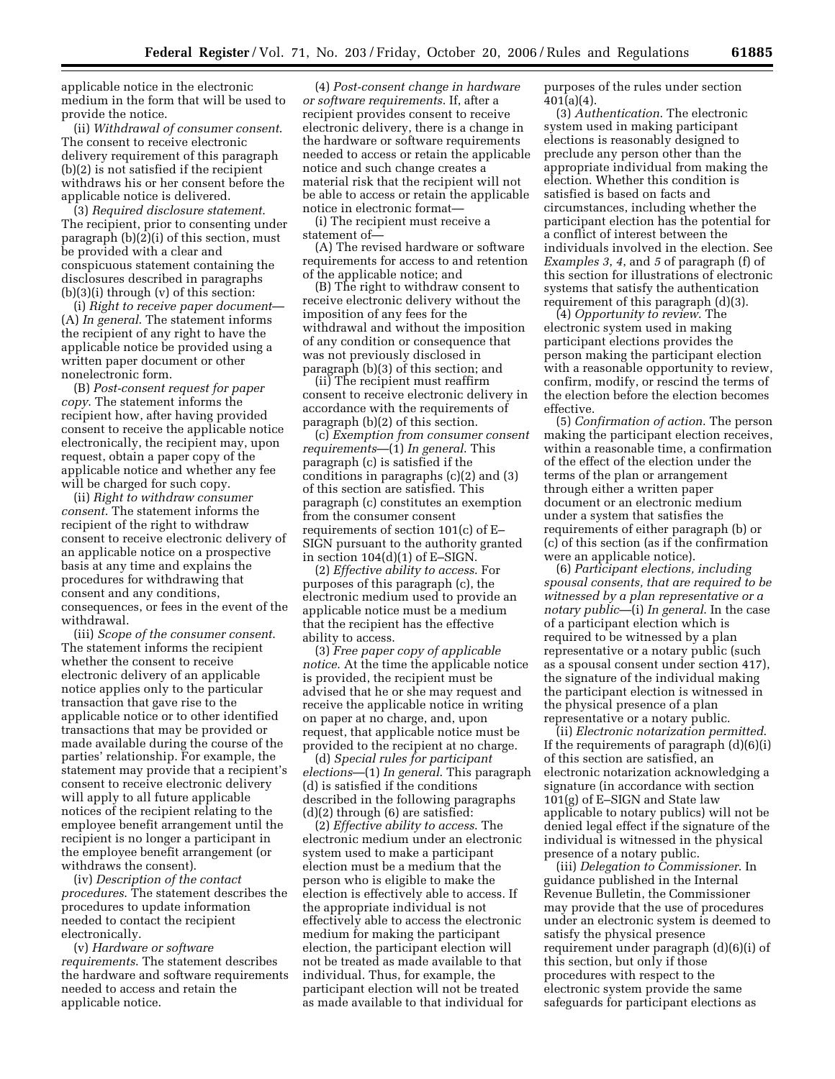applicable notice in the electronic medium in the form that will be used to provide the notice.

(ii) *Withdrawal of consumer consent*. The consent to receive electronic delivery requirement of this paragraph (b)(2) is not satisfied if the recipient withdraws his or her consent before the applicable notice is delivered.

(3) *Required disclosure statement*. The recipient, prior to consenting under paragraph (b)(2)(i) of this section, must be provided with a clear and conspicuous statement containing the disclosures described in paragraphs (b)(3)(i) through (v) of this section:

(i) *Right to receive paper document*— (A) *In general*. The statement informs the recipient of any right to have the applicable notice be provided using a written paper document or other nonelectronic form.

(B) *Post-consent request for paper copy*. The statement informs the recipient how, after having provided consent to receive the applicable notice electronically, the recipient may, upon request, obtain a paper copy of the applicable notice and whether any fee will be charged for such copy.

(ii) *Right to withdraw consumer consent*. The statement informs the recipient of the right to withdraw consent to receive electronic delivery of an applicable notice on a prospective basis at any time and explains the procedures for withdrawing that consent and any conditions, consequences, or fees in the event of the withdrawal.

(iii) *Scope of the consumer consent*. The statement informs the recipient whether the consent to receive electronic delivery of an applicable notice applies only to the particular transaction that gave rise to the applicable notice or to other identified transactions that may be provided or made available during the course of the parties' relationship. For example, the statement may provide that a recipient's consent to receive electronic delivery will apply to all future applicable notices of the recipient relating to the employee benefit arrangement until the recipient is no longer a participant in the employee benefit arrangement (or withdraws the consent).

(iv) *Description of the contact procedures*. The statement describes the procedures to update information needed to contact the recipient electronically.

(v) *Hardware or software requirements*. The statement describes the hardware and software requirements needed to access and retain the applicable notice.

(4) *Post-consent change in hardware or software requirements*. If, after a recipient provides consent to receive electronic delivery, there is a change in the hardware or software requirements needed to access or retain the applicable notice and such change creates a material risk that the recipient will not be able to access or retain the applicable notice in electronic format—

(i) The recipient must receive a statement of—

(A) The revised hardware or software requirements for access to and retention of the applicable notice; and

(B) The right to withdraw consent to receive electronic delivery without the imposition of any fees for the withdrawal and without the imposition of any condition or consequence that was not previously disclosed in paragraph (b)(3) of this section; and

(ii) The recipient must reaffirm consent to receive electronic delivery in accordance with the requirements of paragraph (b)(2) of this section.

(c) *Exemption from consumer consent requirements*—(1) *In general*. This paragraph (c) is satisfied if the conditions in paragraphs (c)(2) and (3) of this section are satisfied. This paragraph (c) constitutes an exemption from the consumer consent requirements of section 101(c) of E– SIGN pursuant to the authority granted in section 104(d)(1) of E–SIGN.

(2) *Effective ability to access*. For purposes of this paragraph (c), the electronic medium used to provide an applicable notice must be a medium that the recipient has the effective ability to access.

(3) *Free paper copy of applicable notice*. At the time the applicable notice is provided, the recipient must be advised that he or she may request and receive the applicable notice in writing on paper at no charge, and, upon request, that applicable notice must be provided to the recipient at no charge.

(d) *Special rules for participant elections*—(1) *In general*. This paragraph (d) is satisfied if the conditions described in the following paragraphs (d)(2) through (6) are satisfied:

(2) *Effective ability to access*. The electronic medium under an electronic system used to make a participant election must be a medium that the person who is eligible to make the election is effectively able to access. If the appropriate individual is not effectively able to access the electronic medium for making the participant election, the participant election will not be treated as made available to that individual. Thus, for example, the participant election will not be treated as made available to that individual for purposes of the rules under section 401(a)(4).

(3) *Authentication*. The electronic system used in making participant elections is reasonably designed to preclude any person other than the appropriate individual from making the election. Whether this condition is satisfied is based on facts and circumstances, including whether the participant election has the potential for a conflict of interest between the individuals involved in the election. See *Examples 3*, *4*, and *5* of paragraph (f) of this section for illustrations of electronic systems that satisfy the authentication requirement of this paragraph (d)(3).

(4) *Opportunity to review*. The electronic system used in making participant elections provides the person making the participant election with a reasonable opportunity to review, confirm, modify, or rescind the terms of the election before the election becomes effective.

(5) *Confirmation of action*. The person making the participant election receives, within a reasonable time, a confirmation of the effect of the election under the terms of the plan or arrangement through either a written paper document or an electronic medium under a system that satisfies the requirements of either paragraph (b) or (c) of this section (as if the confirmation were an applicable notice).

(6) *Participant elections, including spousal consents, that are required to be witnessed by a plan representative or a notary public*—(i) *In general*. In the case of a participant election which is required to be witnessed by a plan representative or a notary public (such as a spousal consent under section 417), the signature of the individual making the participant election is witnessed in the physical presence of a plan representative or a notary public.

(ii) *Electronic notarization permitted*. If the requirements of paragraph (d)(6)(i) of this section are satisfied, an electronic notarization acknowledging a signature (in accordance with section 101(g) of E–SIGN and State law applicable to notary publics) will not be denied legal effect if the signature of the individual is witnessed in the physical presence of a notary public.

(iii) *Delegation to Commissioner*. In guidance published in the Internal Revenue Bulletin, the Commissioner may provide that the use of procedures under an electronic system is deemed to satisfy the physical presence requirement under paragraph (d)(6)(i) of this section, but only if those procedures with respect to the electronic system provide the same safeguards for participant elections as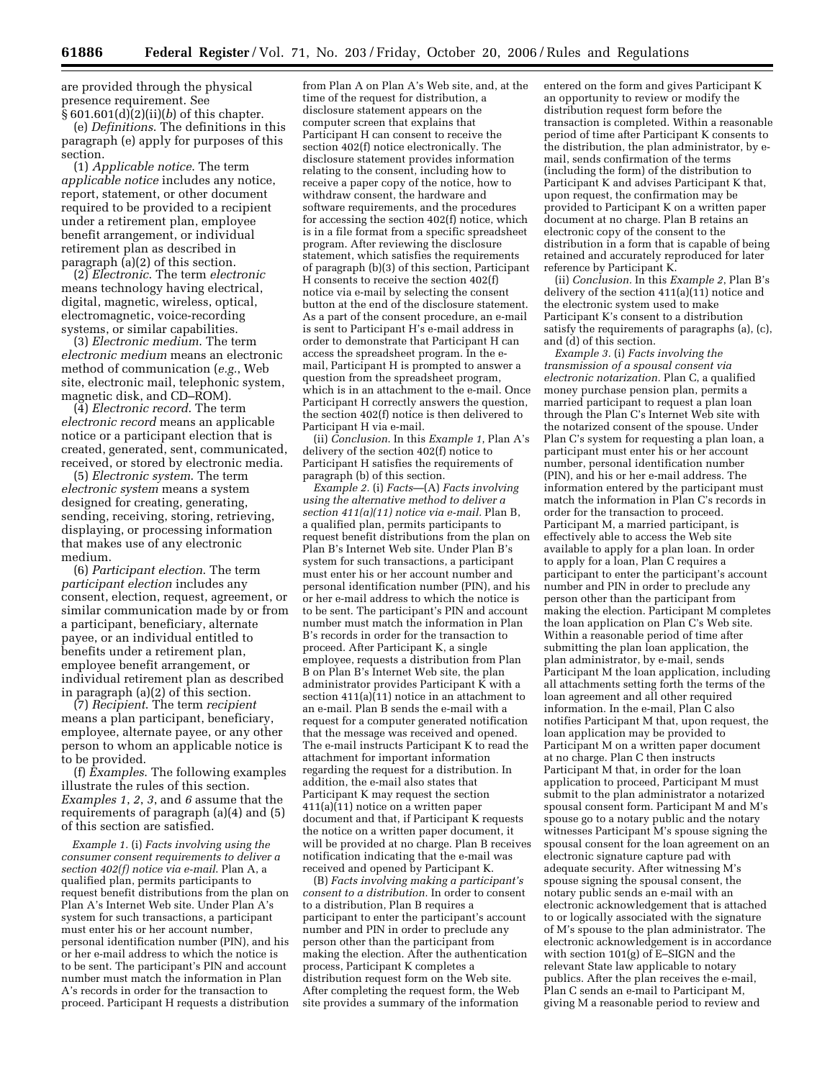are provided through the physical presence requirement. See § 601.601(d)(2)(ii)(*b*) of this chapter.

(e) *Definitions*. The definitions in this paragraph (e) apply for purposes of this section.

(1) *Applicable notice*. The term *applicable notice* includes any notice, report, statement, or other document required to be provided to a recipient under a retirement plan, employee benefit arrangement, or individual retirement plan as described in paragraph (a)(2) of this section.

(2) *Electronic*. The term *electronic*  means technology having electrical, digital, magnetic, wireless, optical, electromagnetic, voice-recording systems, or similar capabilities.

(3) *Electronic medium*. The term *electronic medium* means an electronic method of communication (*e.g.*, Web site, electronic mail, telephonic system, magnetic disk, and CD–ROM).

(4) *Electronic record*. The term *electronic record* means an applicable notice or a participant election that is created, generated, sent, communicated, received, or stored by electronic media.

(5) *Electronic system*. The term *electronic system* means a system designed for creating, generating, sending, receiving, storing, retrieving, displaying, or processing information that makes use of any electronic medium.

(6) *Participant election*. The term *participant election* includes any consent, election, request, agreement, or similar communication made by or from a participant, beneficiary, alternate payee, or an individual entitled to benefits under a retirement plan, employee benefit arrangement, or individual retirement plan as described in paragraph (a)(2) of this section.

(7) *Recipient*. The term *recipient*  means a plan participant, beneficiary, employee, alternate payee, or any other person to whom an applicable notice is to be provided.

(f) *Examples*. The following examples illustrate the rules of this section. *Examples 1*, *2*, *3*, and *6* assume that the requirements of paragraph (a)(4) and (5) of this section are satisfied.

*Example 1.* (i) *Facts involving using the consumer consent requirements to deliver a section 402(f) notice via e-mail*. Plan A, a qualified plan, permits participants to request benefit distributions from the plan on Plan A's Internet Web site. Under Plan A's system for such transactions, a participant must enter his or her account number, personal identification number (PIN), and his or her e-mail address to which the notice is to be sent. The participant's PIN and account number must match the information in Plan A's records in order for the transaction to proceed. Participant H requests a distribution

from Plan A on Plan A's Web site, and, at the time of the request for distribution, a disclosure statement appears on the computer screen that explains that Participant H can consent to receive the section 402(f) notice electronically. The disclosure statement provides information relating to the consent, including how to receive a paper copy of the notice, how to withdraw consent, the hardware and software requirements, and the procedures for accessing the section 402(f) notice, which is in a file format from a specific spreadsheet program. After reviewing the disclosure statement, which satisfies the requirements of paragraph (b)(3) of this section, Participant H consents to receive the section 402(f) notice via e-mail by selecting the consent button at the end of the disclosure statement. As a part of the consent procedure, an e-mail is sent to Participant H's e-mail address in order to demonstrate that Participant H can access the spreadsheet program. In the email, Participant H is prompted to answer a question from the spreadsheet program, which is in an attachment to the e-mail. Once Participant H correctly answers the question, the section 402(f) notice is then delivered to Participant H via e-mail.

(ii) *Conclusion*. In this *Example 1*, Plan A's delivery of the section 402(f) notice to Participant H satisfies the requirements of paragraph (b) of this section.

*Example 2.* (i) *Facts*—(A) *Facts involving using the alternative method to deliver a section 411(a)(11) notice via e-mail.* Plan B, a qualified plan, permits participants to request benefit distributions from the plan on Plan B's Internet Web site. Under Plan B's system for such transactions, a participant must enter his or her account number and personal identification number (PIN), and his or her e-mail address to which the notice is to be sent. The participant's PIN and account number must match the information in Plan B's records in order for the transaction to proceed. After Participant K, a single employee, requests a distribution from Plan B on Plan B's Internet Web site, the plan administrator provides Participant  $\hat{K}$  with a section  $411(a)(11)$  notice in an attachment to an e-mail. Plan B sends the e-mail with a request for a computer generated notification that the message was received and opened. The e-mail instructs Participant K to read the attachment for important information regarding the request for a distribution. In addition, the e-mail also states that Participant K may request the section  $411(a)(11)$  notice on a written paper document and that, if Participant K requests the notice on a written paper document, it will be provided at no charge. Plan B receives notification indicating that the e-mail was received and opened by Participant K.

(B) *Facts involving making a participant's consent to a distribution.* In order to consent to a distribution, Plan B requires a participant to enter the participant's account number and PIN in order to preclude any person other than the participant from making the election. After the authentication process, Participant K completes a distribution request form on the Web site. After completing the request form, the Web site provides a summary of the information

entered on the form and gives Participant K an opportunity to review or modify the distribution request form before the transaction is completed. Within a reasonable period of time after Participant K consents to the distribution, the plan administrator, by email, sends confirmation of the terms (including the form) of the distribution to Participant K and advises Participant K that, upon request, the confirmation may be provided to Participant K on a written paper document at no charge. Plan B retains an electronic copy of the consent to the distribution in a form that is capable of being retained and accurately reproduced for later reference by Participant K.

(ii) *Conclusion.* In this *Example 2*, Plan B's delivery of the section 411(a)(11) notice and the electronic system used to make Participant K's consent to a distribution satisfy the requirements of paragraphs (a), (c), and (d) of this section.

*Example 3.* (i) *Facts involving the transmission of a spousal consent via electronic notarization.* Plan C, a qualified money purchase pension plan, permits a married participant to request a plan loan through the Plan C's Internet Web site with the notarized consent of the spouse. Under Plan C's system for requesting a plan loan, a participant must enter his or her account number, personal identification number (PIN), and his or her e-mail address. The information entered by the participant must match the information in Plan C's records in order for the transaction to proceed. Participant M, a married participant, is effectively able to access the Web site available to apply for a plan loan. In order to apply for a loan, Plan C requires a participant to enter the participant's account number and PIN in order to preclude any person other than the participant from making the election. Participant M completes the loan application on Plan C's Web site. Within a reasonable period of time after submitting the plan loan application, the plan administrator, by e-mail, sends Participant M the loan application, including all attachments setting forth the terms of the loan agreement and all other required information. In the e-mail, Plan C also notifies Participant M that, upon request, the loan application may be provided to Participant M on a written paper document at no charge. Plan C then instructs Participant M that, in order for the loan application to proceed, Participant M must submit to the plan administrator a notarized spousal consent form. Participant M and M's spouse go to a notary public and the notary witnesses Participant M's spouse signing the spousal consent for the loan agreement on an electronic signature capture pad with adequate security. After witnessing M's spouse signing the spousal consent, the notary public sends an e-mail with an electronic acknowledgement that is attached to or logically associated with the signature of M's spouse to the plan administrator. The electronic acknowledgement is in accordance with section 101(g) of E–SIGN and the relevant State law applicable to notary publics. After the plan receives the e-mail, Plan C sends an e-mail to Participant M, giving M a reasonable period to review and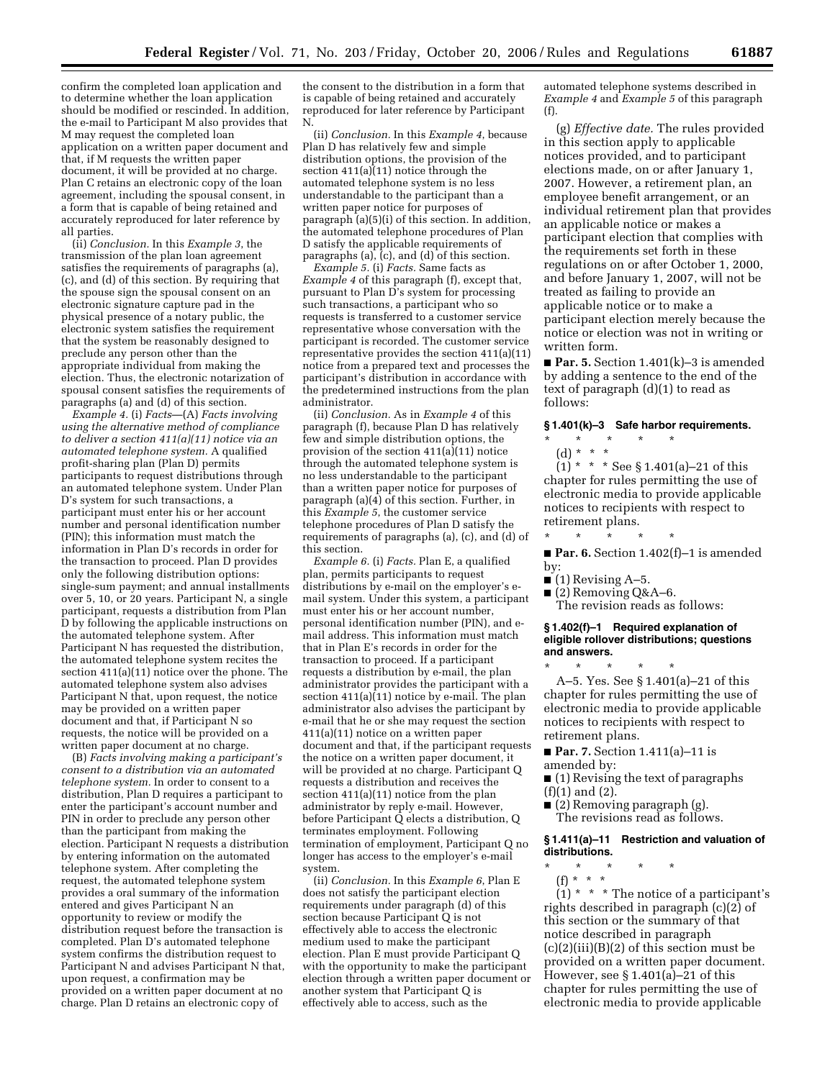confirm the completed loan application and to determine whether the loan application should be modified or rescinded. In addition, the e-mail to Participant M also provides that M may request the completed loan application on a written paper document and that, if M requests the written paper document, it will be provided at no charge. Plan C retains an electronic copy of the loan agreement, including the spousal consent, in a form that is capable of being retained and accurately reproduced for later reference by all parties.

(ii) *Conclusion.* In this *Example 3*, the transmission of the plan loan agreement satisfies the requirements of paragraphs (a), (c), and (d) of this section. By requiring that the spouse sign the spousal consent on an electronic signature capture pad in the physical presence of a notary public, the electronic system satisfies the requirement that the system be reasonably designed to preclude any person other than the appropriate individual from making the election. Thus, the electronic notarization of spousal consent satisfies the requirements of paragraphs (a) and (d) of this section.

*Example 4.* (i) *Facts*—(A) *Facts involving using the alternative method of compliance to deliver a section 411(a)(11) notice via an automated telephone system.* A qualified profit-sharing plan (Plan D) permits participants to request distributions through an automated telephone system. Under Plan D's system for such transactions, a participant must enter his or her account number and personal identification number (PIN); this information must match the information in Plan D's records in order for the transaction to proceed. Plan D provides only the following distribution options: single-sum payment; and annual installments over 5, 10, or 20 years. Participant N, a single participant, requests a distribution from Plan D by following the applicable instructions on the automated telephone system. After Participant N has requested the distribution, the automated telephone system recites the section  $411(a)(11)$  notice over the phone. The automated telephone system also advises Participant N that, upon request, the notice may be provided on a written paper document and that, if Participant N so requests, the notice will be provided on a written paper document at no charge.

(B) *Facts involving making a participant's consent to a distribution via an automated telephone system.* In order to consent to a distribution, Plan D requires a participant to enter the participant's account number and PIN in order to preclude any person other than the participant from making the election. Participant N requests a distribution by entering information on the automated telephone system. After completing the request, the automated telephone system provides a oral summary of the information entered and gives Participant N an opportunity to review or modify the distribution request before the transaction is completed. Plan D's automated telephone system confirms the distribution request to Participant N and advises Participant N that, upon request, a confirmation may be provided on a written paper document at no charge. Plan D retains an electronic copy of

the consent to the distribution in a form that is capable of being retained and accurately reproduced for later reference by Participant N.

(ii) *Conclusion.* In this *Example 4*, because Plan D has relatively few and simple distribution options, the provision of the section 411(a)(11) notice through the automated telephone system is no less understandable to the participant than a written paper notice for purposes of paragraph (a)(5)(i) of this section. In addition, the automated telephone procedures of Plan D satisfy the applicable requirements of paragraphs (a),  $(c)$ , and (d) of this section.

*Example 5.* (i) *Facts.* Same facts as *Example 4* of this paragraph (f), except that, pursuant to Plan D's system for processing such transactions, a participant who so requests is transferred to a customer service representative whose conversation with the participant is recorded. The customer service representative provides the section 411(a)(11) notice from a prepared text and processes the participant's distribution in accordance with the predetermined instructions from the plan administrator.

(ii) *Conclusion.* As in *Example 4* of this paragraph (f), because Plan D has relatively few and simple distribution options, the provision of the section 411(a)(11) notice through the automated telephone system is no less understandable to the participant than a written paper notice for purposes of paragraph (a) $(4)$  of this section. Further, in this *Example 5*, the customer service telephone procedures of Plan D satisfy the requirements of paragraphs (a), (c), and (d) of this section.

*Example 6.* (i) *Facts.* Plan E, a qualified plan, permits participants to request distributions by e-mail on the employer's email system. Under this system, a participant must enter his or her account number, personal identification number (PIN), and email address. This information must match that in Plan E's records in order for the transaction to proceed. If a participant requests a distribution by e-mail, the plan administrator provides the participant with a section  $411(a)(11)$  notice by e-mail. The plan administrator also advises the participant by e-mail that he or she may request the section 411(a)(11) notice on a written paper document and that, if the participant requests the notice on a written paper document, it will be provided at no charge. Participant Q requests a distribution and receives the section 411(a)(11) notice from the plan administrator by reply e-mail. However, before Participant Q elects a distribution, Q terminates employment. Following termination of employment, Participant Q no longer has access to the employer's e-mail system.

(ii) *Conclusion.* In this *Example 6*, Plan E does not satisfy the participant election requirements under paragraph (d) of this section because Participant Q is not effectively able to access the electronic medium used to make the participant election. Plan E must provide Participant Q with the opportunity to make the participant election through a written paper document or another system that Participant Q is effectively able to access, such as the

automated telephone systems described in *Example 4* and *Example 5* of this paragraph (f).

(g) *Effective date.* The rules provided in this section apply to applicable notices provided, and to participant elections made, on or after January 1, 2007. However, a retirement plan, an employee benefit arrangement, or an individual retirement plan that provides an applicable notice or makes a participant election that complies with the requirements set forth in these regulations on or after October 1, 2000, and before January 1, 2007, will not be treated as failing to provide an applicable notice or to make a participant election merely because the notice or election was not in writing or written form.

■ **Par. 5.** Section 1.401(k)–3 is amended by adding a sentence to the end of the text of paragraph (d)(1) to read as follows:

## **§ 1.401(k)–3 Safe harbor requirements.**

- \* \* \* \* \*
	- (d) \* \* \*

 $(1) * * * See § 1.401(a) - 21 of this$ chapter for rules permitting the use of electronic media to provide applicable notices to recipients with respect to retirement plans.

\* \* \* \* \*

■ **Par. 6.** Section 1.402(f)–1 is amended by:

 $\bullet$  (1) Revising A–5.

\* \* \* \* \*

- $(2)$  Removing Q&A–6.
	- The revision reads as follows:

#### **§ 1.402(f)–1 Required explanation of eligible rollover distributions; questions and answers.**

A–5. Yes. See § 1.401(a)–21 of this chapter for rules permitting the use of electronic media to provide applicable notices to recipients with respect to retirement plans.

- **Par. 7.** Section 1.411(a)–11 is amended by:
- (1) Revising the text of paragraphs (f)(1) and (2).
- (2) Removing paragraph (g). The revisions read as follows.

## **§ 1.411(a)–11 Restriction and valuation of distributions.**

- \* \* \* \* \*
	- (f) \* \* \*

 $(1)$  \* \* \* The notice of a participant's rights described in paragraph (c)(2) of this section or the summary of that notice described in paragraph  $(c)(2)(iii)(B)(2)$  of this section must be provided on a written paper document. However, see §  $1.401(a)$ –21 of this chapter for rules permitting the use of electronic media to provide applicable